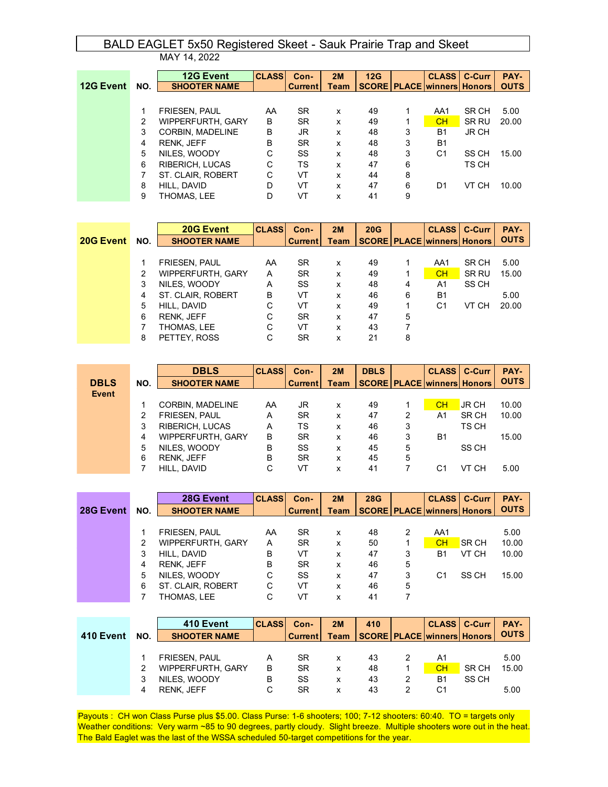## BALD EAGLET 5x50 Registered Skeet - Sauk Prairie Trap and Skeet

|                  |     | MAY 14, 2022             |              |                |             |     |   |                                         |       |             |
|------------------|-----|--------------------------|--------------|----------------|-------------|-----|---|-----------------------------------------|-------|-------------|
|                  |     | <b>12G Event</b>         | <b>CLASS</b> | Con-           | 2M          | 12G |   | <b>CLASS   C-Curr</b>                   |       | PAY-        |
| <b>12G Event</b> | NO. | <b>SHOOTER NAME</b>      |              | <b>Current</b> | <b>Team</b> |     |   | <b>SCORE   PLACE   winners   Honors</b> |       | <b>OUTS</b> |
|                  |     |                          |              |                |             |     |   |                                         |       |             |
|                  | 1   | <b>FRIESEN, PAUL</b>     | AA           | SR.            | X           | 49  | 1 | AA1                                     | SR CH | 5.00        |
|                  | 2   | <b>WIPPERFURTH, GARY</b> | в            | <b>SR</b>      | x           | 49  |   | <b>CH</b>                               | SR RU | 20.00       |
|                  | 3   | CORBIN, MADELINE         | в            | JR             | x           | 48  | 3 | <b>B1</b>                               | JR CH |             |
|                  | 4   | <b>RENK, JEFF</b>        | В            | <b>SR</b>      | x           | 48  | 3 | B <sub>1</sub>                          |       |             |
|                  | 5   | NILES, WOODY             | C            | SS             | X           | 48  | 3 | C <sub>1</sub>                          | SS CH | 15.00       |
|                  | 6   | <b>RIBERICH, LUCAS</b>   | C            | TS             | X           | 47  | 6 |                                         | TS CH |             |
|                  | 7   | ST. CLAIR, ROBERT        | C            | VT             | x           | 44  | 8 |                                         |       |             |
|                  | 8   | HILL, DAVID              | D            | VT             | x           | 47  | 6 | D1                                      | VT CH | 10.00       |
|                  | 9   | THOMAS. LEE              | D            | VT             | x           | 41  | 9 |                                         |       |             |

|           |     | 20G Event                | <b>CLASS</b> | Con-           | 2M   | 20G |   | <b>CLASS   C-Curr</b>             |       | PAY-        |
|-----------|-----|--------------------------|--------------|----------------|------|-----|---|-----------------------------------|-------|-------------|
| 20G Event | NO. | <b>SHOOTER NAME</b>      |              | <b>Current</b> | Team |     |   | <b>SCORE PLACE winners Honors</b> |       | <b>OUTS</b> |
|           |     |                          |              |                |      |     |   |                                   |       |             |
|           |     | <b>FRIESEN, PAUL</b>     | AA           | SR.            | x    | 49  |   | AA1                               | SR CH | 5.00        |
|           | 2   | <b>WIPPERFURTH, GARY</b> | A            | <b>SR</b>      | x    | 49  |   | CH                                | SR RU | 15.00       |
|           | 3   | NILES, WOODY             | A            | SS             | x    | 48  | 4 | A1                                | SS CH |             |
|           | 4   | ST. CLAIR, ROBERT        | B            | VT             | x    | 46  | 6 | B1                                |       | 5.00        |
|           | 5   | HILL, DAVID              | С            | VT             | x    | 49  |   | C1                                | VT CH | 20.00       |
|           | 6   | <b>RENK, JEFF</b>        | C            | <b>SR</b>      | x    | 47  | 5 |                                   |       |             |
|           |     | THOMAS, LEE              | C            | VT             | x    | 43  |   |                                   |       |             |
|           | 8   | PETTEY, ROSS             | C            | <b>SR</b>      | x    | 21  | 8 |                                   |       |             |

|             |     | <b>DBLS</b>            | <b>CLASS</b> | Con-           | 2M          | <b>DBLS</b> |   |                                   | <b>CLASS   C-Curr</b> | PAY-        |
|-------------|-----|------------------------|--------------|----------------|-------------|-------------|---|-----------------------------------|-----------------------|-------------|
| <b>DBLS</b> | NO. | <b>SHOOTER NAME</b>    |              | <b>Current</b> | <b>Team</b> |             |   | <b>SCORE PLACE winners Honors</b> |                       | <b>OUTS</b> |
| Event       |     |                        |              |                |             |             |   |                                   |                       |             |
|             |     | CORBIN, MADELINE       | AA           | JR             | x           | 49          |   | <b>CH</b>                         | <b>JR CH</b>          | 10.00       |
|             | 2   | <b>FRIESEN, PAUL</b>   | Α            | <b>SR</b>      | x           | 47          | 2 | A1                                | SR CH                 | 10.00       |
|             | 3   | <b>RIBERICH, LUCAS</b> | A            | тs             | x           | 46          | 3 |                                   | TS CH                 |             |
|             | 4   | WIPPERFURTH, GARY      | В            | SR             | x           | 46          | 3 | <b>B1</b>                         |                       | 15.00       |
|             | 5   | NILES, WOODY           | B            | SS             | x           | 45          | 5 |                                   | SS CH                 |             |
|             | 6   | <b>RENK, JEFF</b>      | B            | SR             | x           | 45          | 5 |                                   |                       |             |
|             |     | HILL, DAVID            | С            | VT             | x           | 41          |   | C1                                | VT CH                 | 5.00        |

|           |     | 28G Event                | <b>CLASS</b> | Con-           | 2M   | <b>28G</b> |   | <b>CLASS</b>                      | C-Curr       | PAY-        |
|-----------|-----|--------------------------|--------------|----------------|------|------------|---|-----------------------------------|--------------|-------------|
| 28G Event | NO. | <b>SHOOTER NAME</b>      |              | <b>Current</b> | Team |            |   | <b>SCORE PLACE winners Honors</b> |              | <b>OUTS</b> |
|           |     |                          |              |                |      |            |   |                                   |              |             |
|           |     | <b>FRIESEN, PAUL</b>     | AA           | SR.            | x    | 48         | 2 | AA1                               |              | 5.00        |
|           | 2   | <b>WIPPERFURTH, GARY</b> | A            | <b>SR</b>      | x    | 50         |   | CH                                | <b>SR CH</b> | 10.00       |
|           |     | HILL, DAVID              | В            | VT             | X    | 47         | 3 | B1                                | VT CH        | 10.00       |
|           | 4   | <b>RENK, JEFF</b>        | B            | <b>SR</b>      | x    | 46         | 5 |                                   |              |             |
|           | 5   | NILES, WOODY             | C            | SS             | x    | 47         | 3 | C1                                | SS CH        | 15.00       |
|           | 6   | ST. CLAIR, ROBERT        | C            | VT             | x    | 46         | 5 |                                   |              |             |
|           |     | THOMAS, LEE              | C            | VТ             | x    | 41         |   |                                   |              |             |

|     | 410 Event            |    | Con- | 2M           | 410            |                |       | PAY-                                                       |
|-----|----------------------|----|------|--------------|----------------|----------------|-------|------------------------------------------------------------|
| NO. | <b>SHOOTER NAME</b>  |    |      | <b>Team</b>  |                |                |       | <b>OUTS</b>                                                |
|     |                      |    |      |              |                |                |       |                                                            |
|     | <b>FRIESEN, PAUL</b> | A  | SR.  | x            | 43             | A1             |       | 5.00                                                       |
|     | WIPPERFURTH, GARY    | B  | SR   | x            | 48             | CH             | SR CH | 15.00                                                      |
|     | NILES, WOODY         | в  | SS   | x            | 43             | <b>B1</b>      | SS CH |                                                            |
| 4   | <b>RENK, JEFF</b>    | C. | SR   | x            | 43             | C <sub>1</sub> |       | 5.00                                                       |
|     |                      |    |      | <b>CLASS</b> | <b>Current</b> |                |       | <b>CLASS   C-Curr</b><br><b>SCORE PLACE winners Honors</b> |

Payouts : CH won Class Purse plus \$5.00. Class Purse: 1-6 shooters; 100; 7-12 shooters: 60:40. TO = targets only Weather conditions: Very warm ~85 to 90 degrees, partly cloudy. Slight breeze. Multiple shooters wore out in the heat. The Bald Eaglet was the last of the WSSA scheduled 50-target competitions for the year.